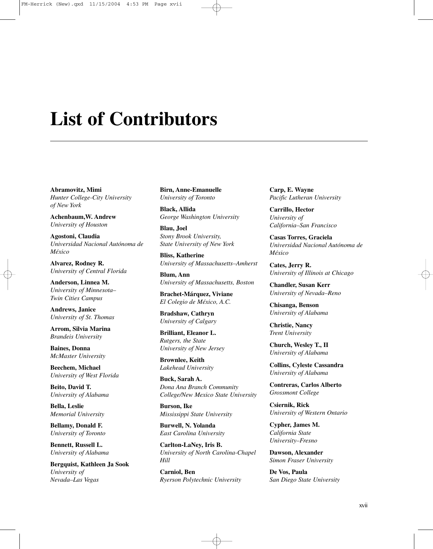## **List of Contributors**

**Abramovitz, Mimi** *Hunter College-City University of New York*

**Achenbaum,W. Andrew** *University of Houston*

**Agostoni, Claudia** *Universidad Nacional Autónoma de México*

**Alvarez, Rodney R.** *University of Central Florida*

**Anderson, Linnea M.** *University of Minnesota– Twin Cities Campus*

**Andrews, Janice** *University of St. Thomas*

**Arrom, Silvia Marina** *Brandeis University*

**Baines, Donna** *McMaster University*

**Beechem, Michael** *University of West Florida*

**Beito, David T.** *University of Alabama*

**Bella, Leslie** *Memorial University*

**Bellamy, Donald F.** *University of Toronto*

**Bennett, Russell L.** *University of Alabama*

**Bergquist, Kathleen Ja Sook** *University of Nevada–Las Vegas*

**Birn, Anne-Emanuelle** *University of Toronto*

**Black, Allida** *George Washington University*

**Blau, Joel** *Stony Brook University, State University of New York*

**Bliss, Katherine** *University of Massachusetts–Amherst*

**Blum, Ann** *University of Massachusetts, Boston*

**Brachet-Márquez, Viviane** *El Colegio de México, A.C.*

**Bradshaw, Cathryn** *University of Calgary*

**Brilliant, Eleanor L.** *Rutgers, the State University of New Jersey*

**Brownlee, Keith** *Lakehead University*

**Buck, Sarah A.** *Dona Ana Branch Community College/New Mexico State University*

**Burson, Ike** *Mississippi State University*

**Burwell, N. Yolanda** *East Carolina University*

**Carlton-LaNey, Iris B.** *University of North Carolina-Chapel Hill*

**Carniol, Ben** *Ryerson Polytechnic University*

**Carp, E. Wayne** *Pacific Lutheran University*

**Carrillo, Hector** *University of California–San Francisco*

**Casas Torres, Graciela** *Universidad Nacional Autónoma de México*

**Cates, Jerry R.** *University of Illinois at Chicago*

**Chandler, Susan Kerr** *University of Nevada–Reno*

**Chisanga, Benson** *University of Alabama*

**Christie, Nancy** *Trent University*

**Church, Wesley T., II** *University of Alabama*

**Collins, Cyleste Cassandra** *University of Alabama*

**Contreras, Carlos Alberto** *Grossmont College*

**Csiernik, Rick** *University of Western Ontario*

**Cypher, James M.** *California State University–Fresno*

**Dawson, Alexander** *Simon Fraser University*

**De Vos, Paula** *San Diego State University*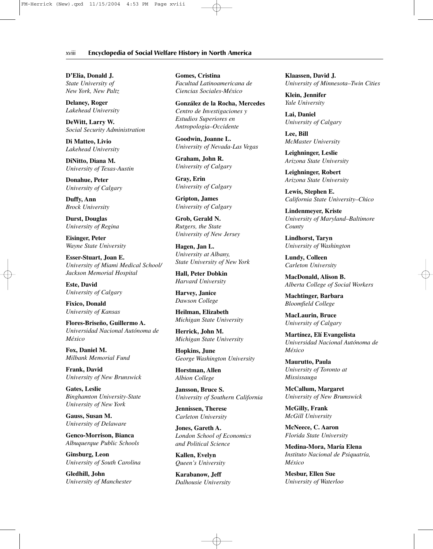## xviii**———Encyclopedia of Social Welfare History in North America**

**D'Elia, Donald J.** *State University of New York, New Paltz*

**Delaney, Roger** *Lakehead University*

**DeWitt, Larry W.** *Social Security Administration*

**Di Matteo, Livio** *Lakehead University*

**DiNitto, Diana M.** *University of Texas-Austin*

**Donahue, Peter** *University of Calgary*

**Duffy, Ann** *Brock University*

**Durst, Douglas** *University of Regina*

**Eisinger, Peter** *Wayne State University*

**Esser-Stuart, Joan E.** *University of Miami Medical School/ Jackson Memorial Hospital*

**Este, David** *University of Calgary*

**Fixico, Donald** *University of Kansas*

**Flores-Briseño, Guillermo A.** *Universidad Nacional Autónoma de México*

**Fox, Daniel M.** *Milbank Memorial Fund*

**Frank, David** *University of New Brunswick*

**Gates, Leslie** *Binghamton University-State University of New York*

**Gauss, Susan M.** *University of Delaware*

**Genco-Morrison, Bianca** *Albuquerque Public Schools*

**Ginsburg, Leon** *University of South Carolina*

**Gledhill, John** *University of Manchester* **Gomes, Cristina** *Facultad Latinoamericana de Ciencias Sociales-México*

**González de la Rocha, Mercedes** *Centro de Investigaciones y Estudios Superiores en Antropologia–Occidente*

**Goodwin, Joanne L.** *University of Nevada-Las Vegas*

**Graham, John R.** *University of Calgary*

**Gray, Erin** *University of Calgary*

**Gripton, James** *University of Calgary*

**Grob, Gerald N.** *Rutgers, the State University of New Jersey*

**Hagen, Jan L.** *University at Albany, State University of New York*

**Hall, Peter Dobkin** *Harvard University*

**Harvey, Janice** *Dawson College*

**Heilman, Elizabeth** *Michigan State University*

**Herrick, John M.** *Michigan State University*

**Hopkins, June** *George Washington University*

**Horstman, Allen** *Albion College*

**Jansson, Bruce S.** *University of Southern California*

**Jennissen, Therese** *Carleton University*

**Jones, Gareth A.** *London School of Economics and Political Science*

**Kallen, Evelyn** *Queen's University*

**Karabanow, Jeff** *Dalhousie University* **Klaassen, David J.** *University of Minnesota–Twin Cities*

**Klein, Jennifer** *Yale University*

**Lai, Daniel** *University of Calgary*

**Lee, Bill** *McMaster University*

**Leighninger, Leslie** *Arizona State University*

**Leighninger, Robert** *Arizona State University*

**Lewis, Stephen E.** *California State University–Chico*

**Lindenmeyer, Kriste** *University of Maryland–Baltimore County*

**Lindhorst, Taryn** *University of Washington*

**Lundy, Colleen** *Carleton University*

**MacDonald, Alison B.** *Alberta College of Social Workers*

**Machtinger, Barbara** *Bloomfield College*

**MacLaurin, Bruce** *University of Calgary*

**Martínez, Elí Evangelista** *Universidad Nacional Autónoma de México*

**Maurutto, Paula** *University of Toronto at Mississauga*

**McCallum, Margaret** *University of New Brumswick*

**McGilly, Frank** *McGill University*

**McNeece, C. Aaron** *Florida State University*

**Medina-Mora, María Elena** *Instituto Nacional de Psiquatría, México*

**Mesbur, Ellen Sue** *University of Waterloo*